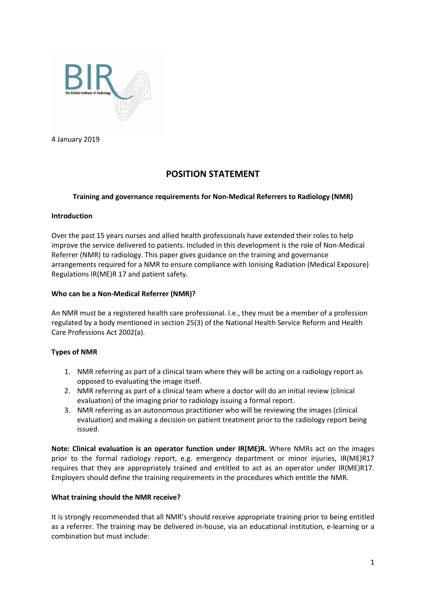

4 January 2019

# **POSITION STATEMENT**

## **Training and governance requirements for Non-Medical Referrers to Radiology (NMR)**

## **Introduction**

Over the past 15 years nurses and allied health professionals have extended their roles to help improve the service delivered to patients. Included in this development is the role of Non-Medical Referrer (NMR) to radiology. This paper gives guidance on the training and governance arrangements required for a NMR to ensure compliance with Ionising Radiation (Medical Exposure) Regulations IR(ME)R 17 and patient safety.

## **Who can be a Non-Medical Referrer (NMR)?**

An NMR must be a registered health care professional. I.e., they must be a member of a profession regulated by a body mentioned in section 25(3) of the National Health Service Reform and Health Care Professions Act 2002(a).

## **Types of NMR**

- 1. NMR referring as part of a clinical team where they will be acting on a radiology report as opposed to evaluating the image itself.
- 2. NMR referring as part of a clinical team where a doctor will do an initial review (clinical evaluation) of the imaging prior to radiology issuing a formal report.
- 3. NMR referring as an autonomous practitioner who will be reviewing the images (clinical evaluation) and making a decision on patient treatment prior to the radiology report being issued.

**Note: Clinical evaluation is an operator function under IR(ME)R.** Where NMRs act on the images prior to the formal radiology report, e.g. emergency department or minor injuries, IR(ME)R17 requires that they are appropriately trained and entitled to act as an operator under IR(ME)R17. Employers should define the training requirements in the procedures which entitle the NMR.

### **What training should the NMR receive?**

It is strongly recommended that all NMR's should receive appropriate training prior to being entitled as a referrer. The training may be delivered in-house, via an educational institution, e-learning or a combination but must include: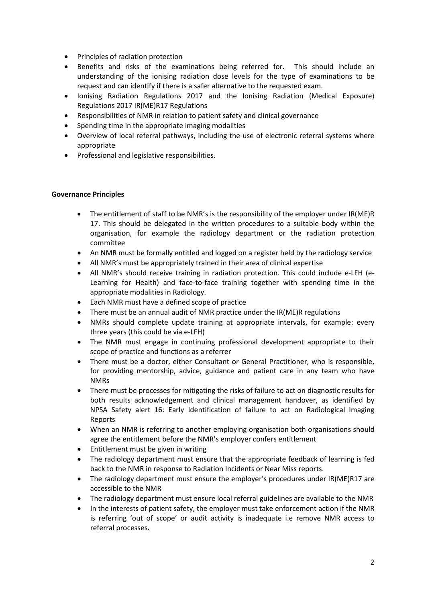- Principles of radiation protection
- Benefits and risks of the examinations being referred for. This should include an understanding of the ionising radiation dose levels for the type of examinations to be request and can identify if there is a safer alternative to the requested exam.
- Ionising Radiation Regulations 2017 and the Ionising Radiation (Medical Exposure) Regulations 2017 IR(ME)R17 Regulations
- Responsibilities of NMR in relation to patient safety and clinical governance
- Spending time in the appropriate imaging modalities
- Overview of local referral pathways, including the use of electronic referral systems where appropriate
- Professional and legislative responsibilities.

## **Governance Principles**

- The entitlement of staff to be NMR's is the responsibility of the employer under IR(ME)R 17. This should be delegated in the written procedures to a suitable body within the organisation, for example the radiology department or the radiation protection committee
- An NMR must be formally entitled and logged on a register held by the radiology service
- All NMR's must be appropriately trained in their area of clinical expertise
- All NMR's should receive training in radiation protection. This could include e-LFH (e-Learning for Health) and face-to-face training together with spending time in the appropriate modalities in Radiology.
- Each NMR must have a defined scope of practice
- There must be an annual audit of NMR practice under the IR(ME)R regulations
- NMRs should complete update training at appropriate intervals, for example: every three years (this could be via e-LFH)
- The NMR must engage in continuing professional development appropriate to their scope of practice and functions as a referrer
- There must be a doctor, either Consultant or General Practitioner, who is responsible, for providing mentorship, advice, guidance and patient care in any team who have NMRs
- There must be processes for mitigating the risks of failure to act on diagnostic results for both results acknowledgement and clinical management handover, as identified by NPSA Safety alert 16: Early Identification of failure to act on Radiological Imaging Reports
- When an NMR is referring to another employing organisation both organisations should agree the entitlement before the NMR's employer confers entitlement
- Entitlement must be given in writing
- The radiology department must ensure that the appropriate feedback of learning is fed back to the NMR in response to Radiation Incidents or Near Miss reports.
- The radiology department must ensure the employer's procedures under IR(ME)R17 are accessible to the NMR
- The radiology department must ensure local referral guidelines are available to the NMR
- In the interests of patient safety, the employer must take enforcement action if the NMR is referring 'out of scope' or audit activity is inadequate i.e remove NMR access to referral processes.